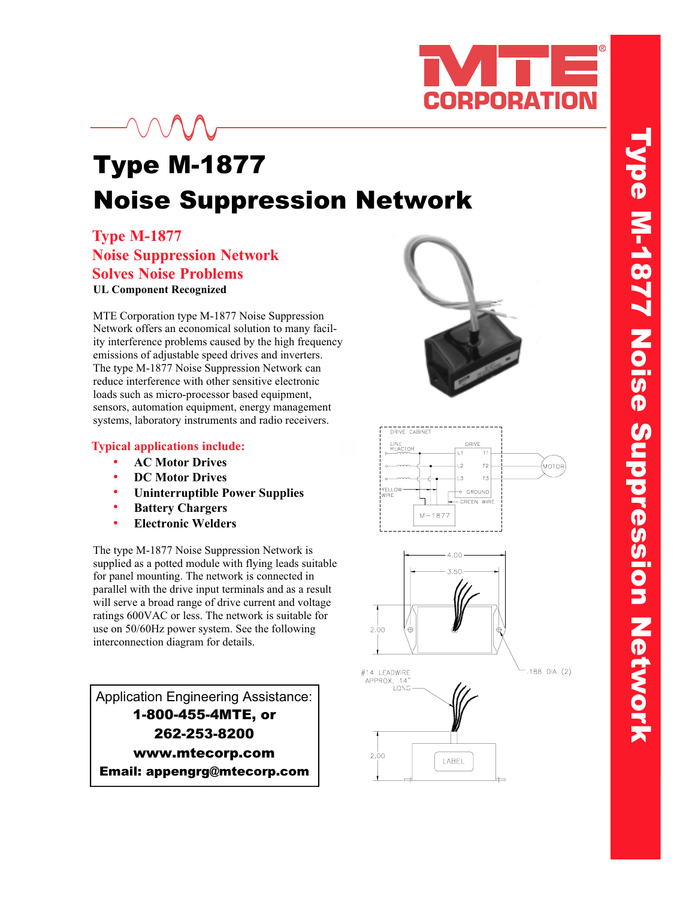

## Type M-1877 Noise Suppression Network

**Type M-1877 Type M-1877 Noise Suppression Network Noise Suppression Network Solves Noise Problems Solves Noise Problems UL Component Recognized** 

MTE Corporation type M-1877 Noise Suppression Network offers an economical solution to many facility interference problems caused by the high frequency emissions of adjustable speed drives and inverters. The type M-1877 Noise Suppression Network can reduce interference with other sensitive electronic loads such as micro-processor based equipment, sensors, automation equipment, energy management systems, laboratory instruments and radio receivers.

## **Typical applications include: Typical applications include:**

- **AC Motor Drives**
- **DC Motor Drives**
- **Uninterruptible Power Supplies •••••**
- **Battery Chargers**
- **Electronic Welders**

The type M-1877 Noise Suppression Network is supplied as a potted module with flying leads suitable for panel mounting. The network is connected in parallel with the drive input terminals and as a result will serve a broad range of drive current and voltage ratings 600VAC or less. The network is suitable for use on 50/60Hz power system. See the following interconnection diagram for details.

 $1-800-455-4MTE$ , or 262-253-8200 www.mtecorp.com Email: appengrg@mtecorp.com